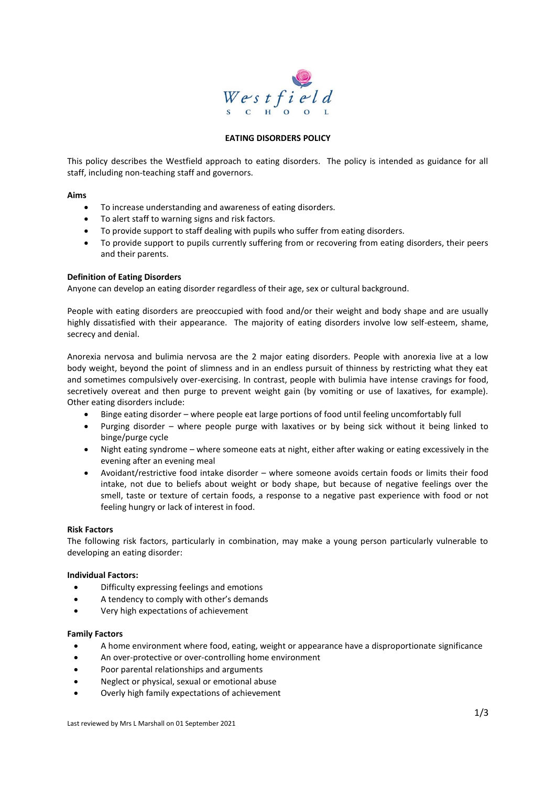

## **EATING DISORDERS POLICY**

This policy describes the Westfield approach to eating disorders. The policy is intended as guidance for all staff, including non-teaching staff and governors.

### **Aims**

- To increase understanding and awareness of eating disorders.
- To alert staff to warning signs and risk factors.
- To provide support to staff dealing with pupils who suffer from eating disorders.
- To provide support to pupils currently suffering from or recovering from eating disorders, their peers and their parents.

# **Definition of Eating Disorders**

Anyone can develop an eating disorder regardless of their age, sex or cultural background.

People with eating disorders are preoccupied with food and/or their weight and body shape and are usually highly dissatisfied with their appearance. The majority of eating disorders involve low self-esteem, shame, secrecy and denial.

Anorexia nervosa and bulimia nervosa are the 2 major eating disorders. People with anorexia live at a low body weight, beyond the point of slimness and in an endless pursuit of thinness by restricting what they eat and sometimes compulsively over-exercising. In contrast, people with bulimia have intense cravings for food, secretively overeat and then purge to prevent weight gain (by vomiting or use of laxatives, for example). Other eating disorders include:

- Binge eating disorder where people eat large portions of food until feeling uncomfortably full
- Purging disorder where people purge with laxatives or by being sick without it being linked to binge/purge cycle
- Night eating syndrome where someone eats at night, either after waking or eating excessively in the evening after an evening meal
- Avoidant/restrictive food intake disorder where someone avoids certain foods or limits their food intake, not due to beliefs about weight or body shape, but because of negative feelings over the smell, taste or texture of certain foods, a response to a negative past experience with food or not feeling hungry or lack of interest in food.

# **Risk Factors**

The following risk factors, particularly in combination, may make a young person particularly vulnerable to developing an eating disorder:

#### **Individual Factors:**

- Difficulty expressing feelings and emotions
- A tendency to comply with other's demands
- Very high expectations of achievement

#### **Family Factors**

- A home environment where food, eating, weight or appearance have a disproportionate significance
- An over-protective or over-controlling home environment
- Poor parental relationships and arguments
- Neglect or physical, sexual or emotional abuse
- Overly high family expectations of achievement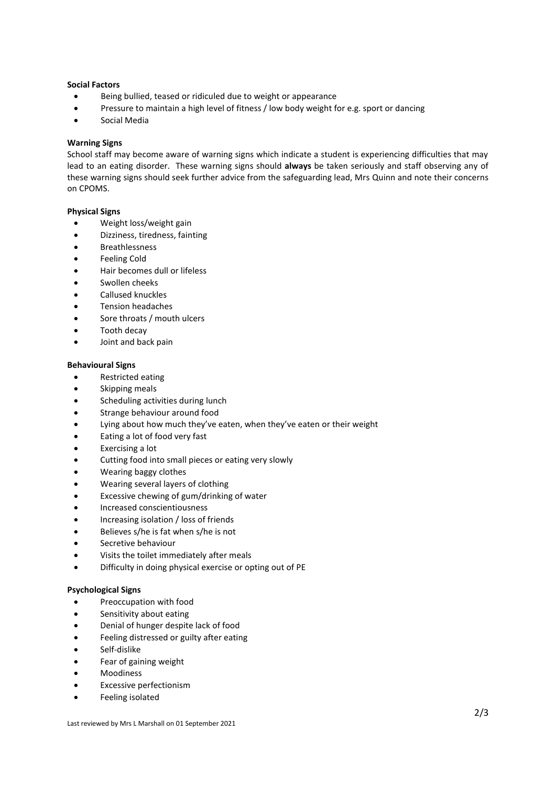## **Social Factors**

- Being bullied, teased or ridiculed due to weight or appearance
- Pressure to maintain a high level of fitness / low body weight for e.g. sport or dancing
- Social Media

## **Warning Signs**

School staff may become aware of warning signs which indicate a student is experiencing difficulties that may lead to an eating disorder. These warning signs should **always** be taken seriously and staff observing any of these warning signs should seek further advice from the safeguarding lead, Mrs Quinn and note their concerns on CPOMS.

### **Physical Signs**

- Weight loss/weight gain
- Dizziness, tiredness, fainting
- Breathlessness
- Feeling Cold
- Hair becomes dull or lifeless
- Swollen cheeks
- Callused knuckles
- Tension headaches
- Sore throats / mouth ulcers
- Tooth decay
- Joint and back pain

### **Behavioural Signs**

- Restricted eating
- Skipping meals
- Scheduling activities during lunch
- Strange behaviour around food
- Lying about how much they've eaten, when they've eaten or their weight
- Eating a lot of food very fast
- Exercising a lot
- Cutting food into small pieces or eating very slowly
- Wearing baggy clothes
- Wearing several layers of clothing
- Excessive chewing of gum/drinking of water
- Increased conscientiousness
- Increasing isolation / loss of friends
- Believes s/he is fat when s/he is not
- Secretive behaviour
- Visits the toilet immediately after meals
- Difficulty in doing physical exercise or opting out of PE

# **Psychological Signs**

- Preoccupation with food
- Sensitivity about eating
- Denial of hunger despite lack of food
- Feeling distressed or guilty after eating
- Self-dislike
- Fear of gaining weight
- Moodiness
- Excessive perfectionism
- Feeling isolated